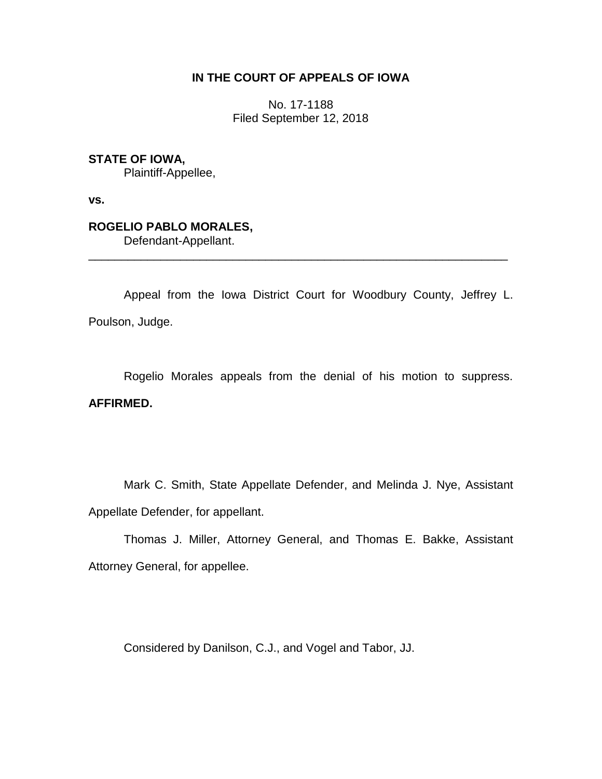## **IN THE COURT OF APPEALS OF IOWA**

No. 17-1188 Filed September 12, 2018

## **STATE OF IOWA,**

Plaintiff-Appellee,

**vs.**

# **ROGELIO PABLO MORALES,**

Defendant-Appellant.

Appeal from the Iowa District Court for Woodbury County, Jeffrey L. Poulson, Judge.

\_\_\_\_\_\_\_\_\_\_\_\_\_\_\_\_\_\_\_\_\_\_\_\_\_\_\_\_\_\_\_\_\_\_\_\_\_\_\_\_\_\_\_\_\_\_\_\_\_\_\_\_\_\_\_\_\_\_\_\_\_\_\_\_

Rogelio Morales appeals from the denial of his motion to suppress. **AFFIRMED.**

Mark C. Smith, State Appellate Defender, and Melinda J. Nye, Assistant Appellate Defender, for appellant.

Thomas J. Miller, Attorney General, and Thomas E. Bakke, Assistant Attorney General, for appellee.

Considered by Danilson, C.J., and Vogel and Tabor, JJ.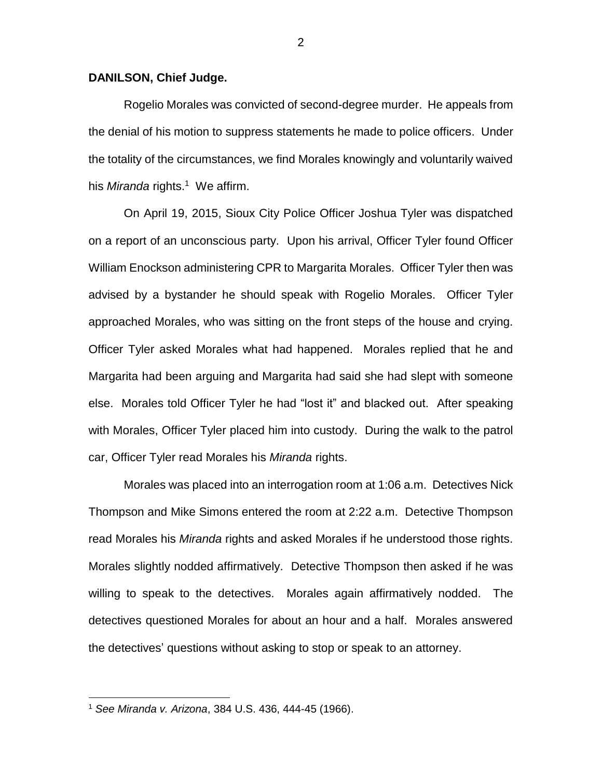#### **DANILSON, Chief Judge.**

Rogelio Morales was convicted of second-degree murder. He appeals from the denial of his motion to suppress statements he made to police officers. Under the totality of the circumstances, we find Morales knowingly and voluntarily waived his *Miranda* rights.<sup>1</sup> We affirm.

On April 19, 2015, Sioux City Police Officer Joshua Tyler was dispatched on a report of an unconscious party. Upon his arrival, Officer Tyler found Officer William Enockson administering CPR to Margarita Morales. Officer Tyler then was advised by a bystander he should speak with Rogelio Morales. Officer Tyler approached Morales, who was sitting on the front steps of the house and crying. Officer Tyler asked Morales what had happened. Morales replied that he and Margarita had been arguing and Margarita had said she had slept with someone else. Morales told Officer Tyler he had "lost it" and blacked out. After speaking with Morales, Officer Tyler placed him into custody. During the walk to the patrol car, Officer Tyler read Morales his *Miranda* rights.

Morales was placed into an interrogation room at 1:06 a.m. Detectives Nick Thompson and Mike Simons entered the room at 2:22 a.m. Detective Thompson read Morales his *Miranda* rights and asked Morales if he understood those rights. Morales slightly nodded affirmatively. Detective Thompson then asked if he was willing to speak to the detectives. Morales again affirmatively nodded. The detectives questioned Morales for about an hour and a half. Morales answered the detectives' questions without asking to stop or speak to an attorney.

 $\overline{a}$ 

<sup>1</sup> *See Miranda v. Arizona*, 384 U.S. 436, 444-45 (1966).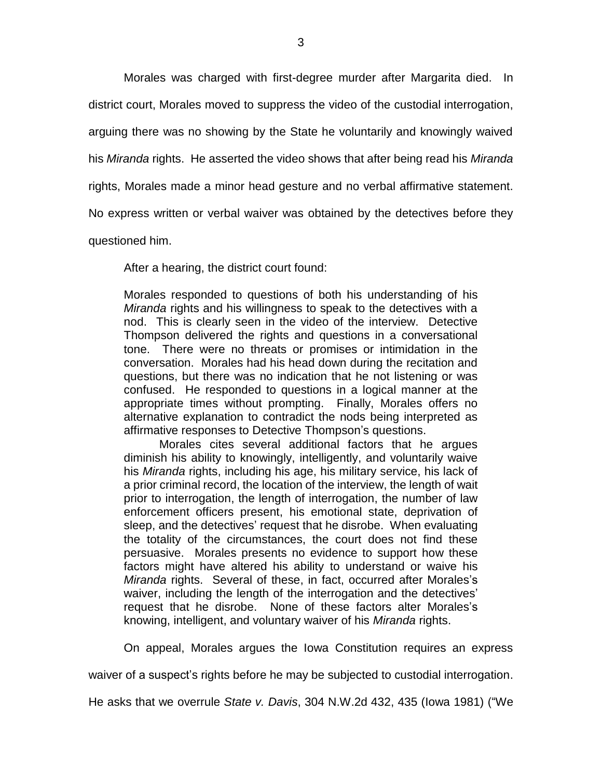Morales was charged with first-degree murder after Margarita died. In

district court, Morales moved to suppress the video of the custodial interrogation,

arguing there was no showing by the State he voluntarily and knowingly waived

his *Miranda* rights. He asserted the video shows that after being read his *Miranda* 

rights, Morales made a minor head gesture and no verbal affirmative statement.

No express written or verbal waiver was obtained by the detectives before they

questioned him.

After a hearing, the district court found:

Morales responded to questions of both his understanding of his *Miranda* rights and his willingness to speak to the detectives with a nod. This is clearly seen in the video of the interview. Detective Thompson delivered the rights and questions in a conversational tone. There were no threats or promises or intimidation in the conversation. Morales had his head down during the recitation and questions, but there was no indication that he not listening or was confused. He responded to questions in a logical manner at the appropriate times without prompting. Finally, Morales offers no alternative explanation to contradict the nods being interpreted as affirmative responses to Detective Thompson's questions.

Morales cites several additional factors that he argues diminish his ability to knowingly, intelligently, and voluntarily waive his *Miranda* rights, including his age, his military service, his lack of a prior criminal record, the location of the interview, the length of wait prior to interrogation, the length of interrogation, the number of law enforcement officers present, his emotional state, deprivation of sleep, and the detectives' request that he disrobe. When evaluating the totality of the circumstances, the court does not find these persuasive. Morales presents no evidence to support how these factors might have altered his ability to understand or waive his *Miranda* rights. Several of these, in fact, occurred after Morales's waiver, including the length of the interrogation and the detectives' request that he disrobe. None of these factors alter Morales's knowing, intelligent, and voluntary waiver of his *Miranda* rights.

On appeal, Morales argues the Iowa Constitution requires an express

waiver of a suspect's rights before he may be subjected to custodial interrogation.

He asks that we overrule *State v. Davis*, 304 N.W.2d 432, 435 (Iowa 1981) ("We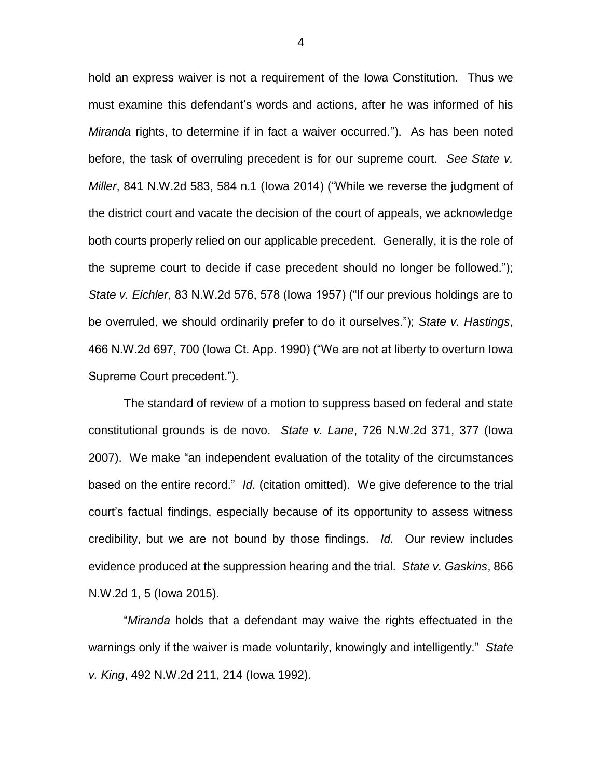hold an express waiver is not a requirement of the Iowa Constitution. Thus we must examine this defendant's words and actions, after he was informed of his *Miranda* rights, to determine if in fact a waiver occurred."). As has been noted before, the task of overruling precedent is for our supreme court. *See State v. Miller*, 841 N.W.2d 583, 584 n.1 (Iowa 2014) ("While we reverse the judgment of the district court and vacate the decision of the court of appeals, we acknowledge both courts properly relied on our applicable precedent. Generally, it is the role of the supreme court to decide if case precedent should no longer be followed."); *State v. Eichler*, 83 N.W.2d 576, 578 (Iowa 1957) ("If our previous holdings are to be overruled, we should ordinarily prefer to do it ourselves."); *State v. Hastings*, 466 N.W.2d 697, 700 (Iowa Ct. App. 1990) ("We are not at liberty to overturn Iowa Supreme Court precedent.").

The standard of review of a motion to suppress based on federal and state constitutional grounds is de novo. *State v. Lane*, 726 N.W.2d 371, 377 (Iowa 2007). We make "an independent evaluation of the totality of the circumstances based on the entire record." *Id.* (citation omitted). We give deference to the trial court's factual findings, especially because of its opportunity to assess witness credibility, but we are not bound by those findings. *Id.* Our review includes evidence produced at the suppression hearing and the trial. *State v. Gaskins*, 866 N.W.2d 1, 5 (Iowa 2015).

"*Miranda* holds that a defendant may waive the rights effectuated in the warnings only if the waiver is made voluntarily, knowingly and intelligently." *State v. King*, 492 N.W.2d 211, 214 (Iowa 1992).

4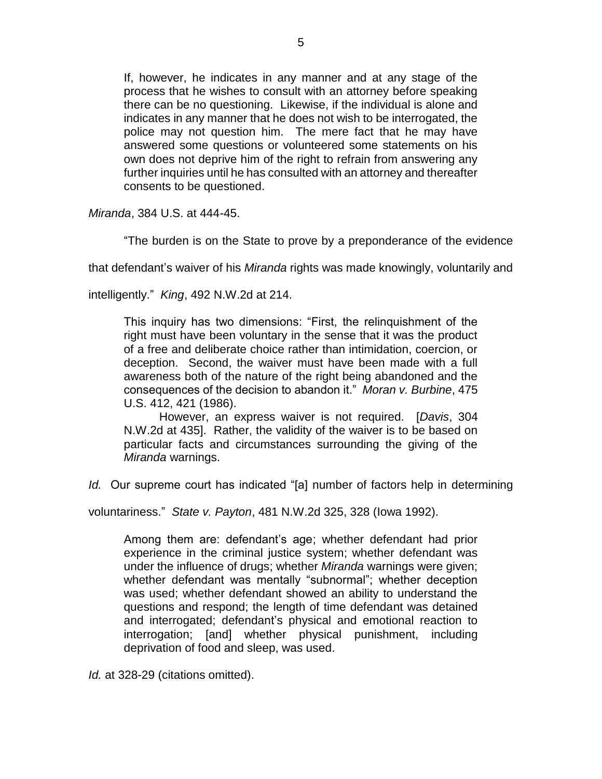If, however, he indicates in any manner and at any stage of the process that he wishes to consult with an attorney before speaking there can be no questioning. Likewise, if the individual is alone and indicates in any manner that he does not wish to be interrogated, the police may not question him. The mere fact that he may have answered some questions or volunteered some statements on his own does not deprive him of the right to refrain from answering any further inquiries until he has consulted with an attorney and thereafter consents to be questioned.

*Miranda*, 384 U.S. at 444-45.

"The burden is on the State to prove by a preponderance of the evidence

that defendant's waiver of his *Miranda* rights was made knowingly, voluntarily and

intelligently." *King*, 492 N.W.2d at 214.

This inquiry has two dimensions: "First, the relinquishment of the right must have been voluntary in the sense that it was the product of a free and deliberate choice rather than intimidation, coercion, or deception. Second, the waiver must have been made with a full awareness both of the nature of the right being abandoned and the consequences of the decision to abandon it." *Moran v. Burbine*, 475 U.S. 412, 421 (1986).

However, an express waiver is not required. [*Davis*, 304 N.W.2d at 435]. Rather, the validity of the waiver is to be based on particular facts and circumstances surrounding the giving of the *Miranda* warnings.

*Id.* Our supreme court has indicated "[a] number of factors help in determining

voluntariness." *State v. Payton*, 481 N.W.2d 325, 328 (Iowa 1992).

Among them are: defendant's age; whether defendant had prior experience in the criminal justice system; whether defendant was under the influence of drugs; whether *Miranda* warnings were given; whether defendant was mentally "subnormal"; whether deception was used; whether defendant showed an ability to understand the questions and respond; the length of time defendant was detained and interrogated; defendant's physical and emotional reaction to interrogation; [and] whether physical punishment, including deprivation of food and sleep, was used.

*Id.* at 328-29 (citations omitted).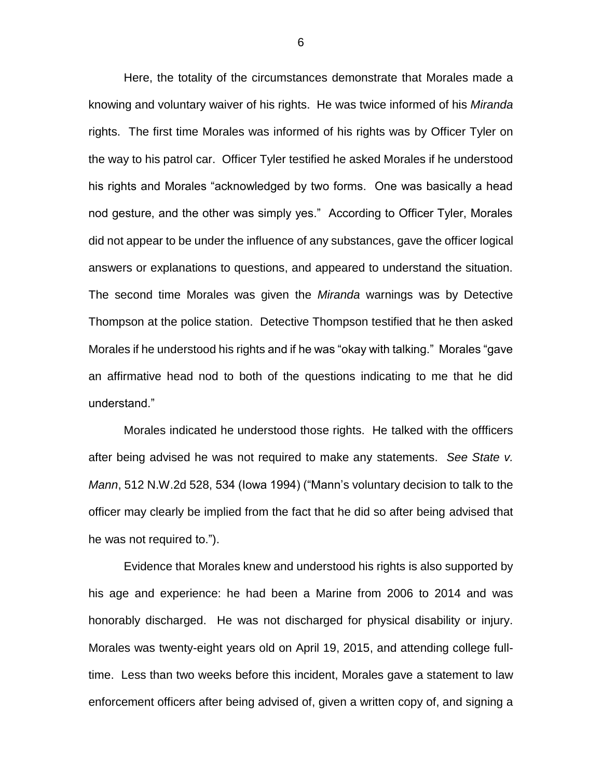Here, the totality of the circumstances demonstrate that Morales made a knowing and voluntary waiver of his rights. He was twice informed of his *Miranda*  rights. The first time Morales was informed of his rights was by Officer Tyler on the way to his patrol car. Officer Tyler testified he asked Morales if he understood his rights and Morales "acknowledged by two forms. One was basically a head nod gesture, and the other was simply yes." According to Officer Tyler, Morales did not appear to be under the influence of any substances, gave the officer logical answers or explanations to questions, and appeared to understand the situation. The second time Morales was given the *Miranda* warnings was by Detective Thompson at the police station. Detective Thompson testified that he then asked Morales if he understood his rights and if he was "okay with talking." Morales "gave an affirmative head nod to both of the questions indicating to me that he did understand."

Morales indicated he understood those rights. He talked with the offficers after being advised he was not required to make any statements. *See State v. Mann*, 512 N.W.2d 528, 534 (Iowa 1994) ("Mann's voluntary decision to talk to the officer may clearly be implied from the fact that he did so after being advised that he was not required to.").

Evidence that Morales knew and understood his rights is also supported by his age and experience: he had been a Marine from 2006 to 2014 and was honorably discharged. He was not discharged for physical disability or injury. Morales was twenty-eight years old on April 19, 2015, and attending college fulltime. Less than two weeks before this incident, Morales gave a statement to law enforcement officers after being advised of, given a written copy of, and signing a